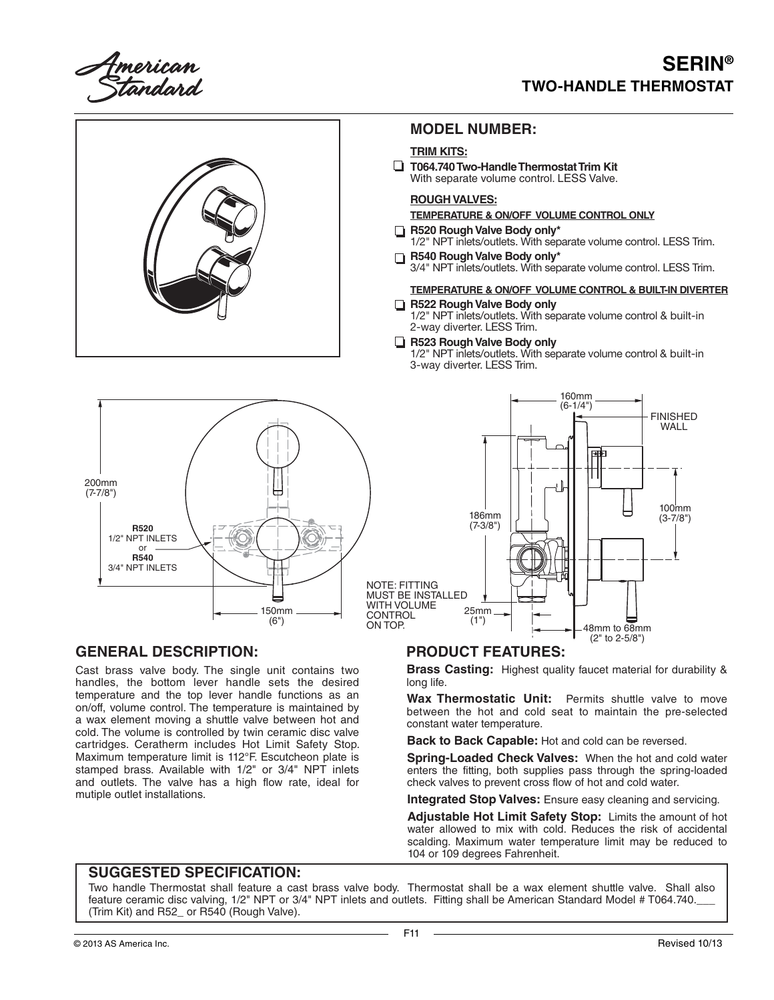American<br>, Standard

# **SERIN® TWO-HANDLE THERMOSTAT**



MUST BE INSTALLED WITH VOLUME CONTROL ON TOP.

### **GENERAL DESCRIPTION:**

Cast brass valve body. The single unit contains two handles, the bottom lever handle sets the desired temperature and the top lever handle functions as an on/off, volume control. The temperature is maintained by a wax element moving a shuttle valve between hot and cold. The volume is controlled by twin ceramic disc valve cartridges. Ceratherm includes Hot Limit Safety Stop. Maximum temperature limit is 112°F. Escutcheon plate is stamped brass. Available with 1/2" or 3/4" NPT inlets and outlets. The valve has a high flow rate, ideal for mutiple outlet installations.

150mm (6")

### **PRODUCT FEATURES:**

25mm (1")

**Brass Casting:** Highest quality faucet material for durability & long life.

48mm to 68mm (2" to 2-5/8")

**Wax Thermostatic Unit:** Permits shuttle valve to move between the hot and cold seat to maintain the pre-selected constant water temperature.

**Back to Back Capable:** Hot and cold can be reversed.

**Spring-Loaded Check Valves:** When the hot and cold water enters the fitting, both supplies pass through the spring-loaded check valves to prevent cross flow of hot and cold water.

**Integrated Stop Valves:** Ensure easy cleaning and servicing.

**Adjustable Hot Limit Safety Stop:** Limits the amount of hot water allowed to mix with cold. Reduces the risk of accidental scalding. Maximum water temperature limit may be reduced to 104 or 109 degrees Fahrenheit.

#### **SUGGESTED SPECIFICATION:**

Two handle Thermostat shall feature a cast brass valve body. Thermostat shall be a wax element shuttle valve. Shall also feature ceramic disc valving, 1/2" NPT or 3/4" NPT inlets and outlets. Fitting shall be American Standard Model # T064.740. (Trim Kit) and R52\_ or R540 (Rough Valve).